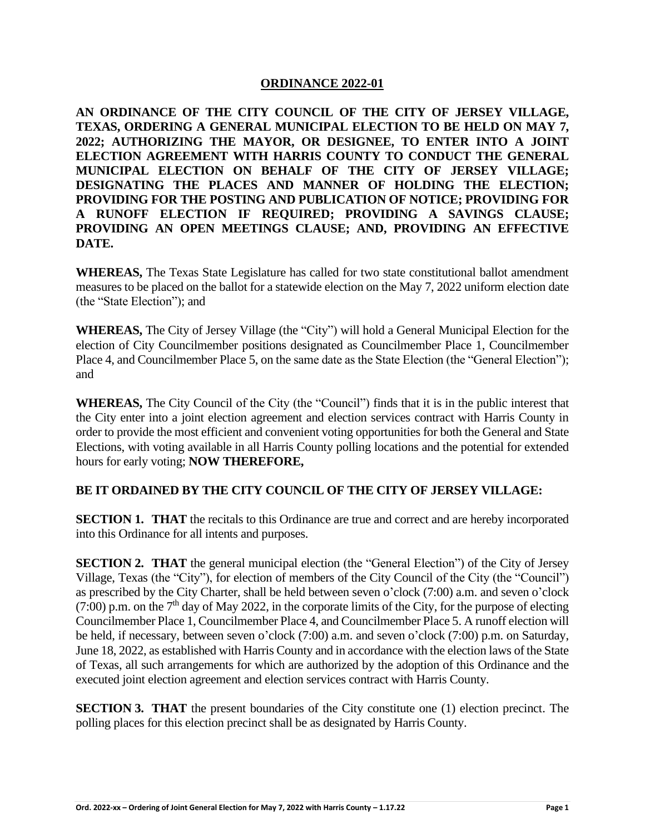## **ORDINANCE 2022-01**

**AN ORDINANCE OF THE CITY COUNCIL OF THE CITY OF JERSEY VILLAGE, TEXAS, ORDERING A GENERAL MUNICIPAL ELECTION TO BE HELD ON MAY 7, 2022; AUTHORIZING THE MAYOR, OR DESIGNEE, TO ENTER INTO A JOINT ELECTION AGREEMENT WITH HARRIS COUNTY TO CONDUCT THE GENERAL MUNICIPAL ELECTION ON BEHALF OF THE CITY OF JERSEY VILLAGE; DESIGNATING THE PLACES AND MANNER OF HOLDING THE ELECTION; PROVIDING FOR THE POSTING AND PUBLICATION OF NOTICE; PROVIDING FOR A RUNOFF ELECTION IF REQUIRED; PROVIDING A SAVINGS CLAUSE; PROVIDING AN OPEN MEETINGS CLAUSE; AND, PROVIDING AN EFFECTIVE DATE.**

**WHEREAS,** The Texas State Legislature has called for two state constitutional ballot amendment measures to be placed on the ballot for a statewide election on the May 7, 2022 uniform election date (the "State Election"); and

**WHEREAS,** The City of Jersey Village (the "City") will hold a General Municipal Election for the election of City Councilmember positions designated as Councilmember Place 1, Councilmember Place 4, and Councilmember Place 5, on the same date as the State Election (the "General Election"); and

**WHEREAS,** The City Council of the City (the "Council") finds that it is in the public interest that the City enter into a joint election agreement and election services contract with Harris County in order to provide the most efficient and convenient voting opportunities for both the General and State Elections, with voting available in all Harris County polling locations and the potential for extended hours for early voting; **NOW THEREFORE,**

## **BE IT ORDAINED BY THE CITY COUNCIL OF THE CITY OF JERSEY VILLAGE:**

**SECTION 1. THAT** the recitals to this Ordinance are true and correct and are hereby incorporated into this Ordinance for all intents and purposes.

**SECTION 2. THAT** the general municipal election (the "General Election") of the City of Jersey Village, Texas (the "City"), for election of members of the City Council of the City (the "Council") as prescribed by the City Charter, shall be held between seven o'clock (7:00) a.m. and seven o'clock (7:00) p.m. on the  $7<sup>th</sup>$  day of May 2022, in the corporate limits of the City, for the purpose of electing Councilmember Place 1, Councilmember Place 4, and Councilmember Place 5. A runoff election will be held, if necessary, between seven o'clock (7:00) a.m. and seven o'clock (7:00) p.m. on Saturday, June 18, 2022, as established with Harris County and in accordance with the election laws of the State of Texas, all such arrangements for which are authorized by the adoption of this Ordinance and the executed joint election agreement and election services contract with Harris County.

**SECTION 3. THAT** the present boundaries of the City constitute one (1) election precinct. The polling places for this election precinct shall be as designated by Harris County.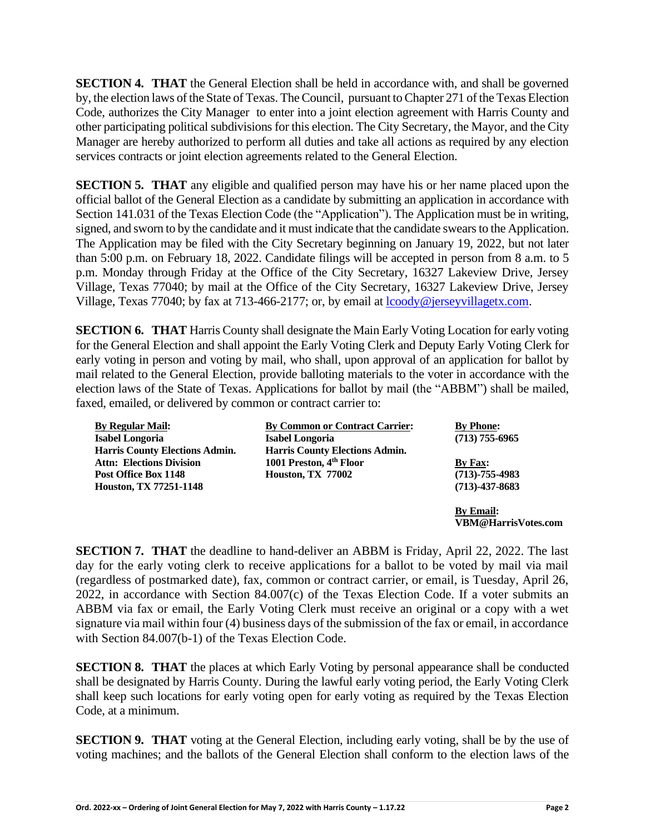**SECTION 4. THAT** the General Election shall be held in accordance with, and shall be governed by, the election laws of the State of Texas. The Council, pursuant to Chapter 271 of the Texas Election Code, authorizes the City Manager to enter into a joint election agreement with Harris County and other participating political subdivisions for this election. The City Secretary, the Mayor, and the City Manager are hereby authorized to perform all duties and take all actions as required by any election services contracts or joint election agreements related to the General Election.

**SECTION 5. THAT** any eligible and qualified person may have his or her name placed upon the official ballot of the General Election as a candidate by submitting an application in accordance with Section 141.031 of the Texas Election Code (the "Application"). The Application must be in writing, signed, and sworn to by the candidate and it must indicate that the candidate swears to the Application. The Application may be filed with the City Secretary beginning on January 19, 2022, but not later than 5:00 p.m. on February 18, 2022. Candidate filings will be accepted in person from 8 a.m. to 5 p.m. Monday through Friday at the Office of the City Secretary, 16327 Lakeview Drive, Jersey Village, Texas 77040; by mail at the Office of the City Secretary, 16327 Lakeview Drive, Jersey Village, Texas 77040; by fax at 713-466-2177; or, by email at [lcoody@jerseyvillagetx.com.](mailto:lcoody@jerseyvillagetx.com)

**SECTION 6. THAT** Harris County shall designate the Main Early Voting Location for early voting for the General Election and shall appoint the Early Voting Clerk and Deputy Early Voting Clerk for early voting in person and voting by mail, who shall, upon approval of an application for ballot by mail related to the General Election, provide balloting materials to the voter in accordance with the election laws of the State of Texas. Applications for ballot by mail (the "ABBM") shall be mailed, faxed, emailed, or delivered by common or contract carrier to:

| <b>By Regular Mail:</b>               | <b>By Common or Contract Carrier:</b> | <b>By Phone:</b>           |
|---------------------------------------|---------------------------------------|----------------------------|
| <b>Isabel Longoria</b>                | Isabel Longoria                       | $(713)$ 755-6965           |
| <b>Harris County Elections Admin.</b> | <b>Harris County Elections Admin.</b> |                            |
| <b>Attn: Elections Division</b>       | 1001 Preston, 4 <sup>th</sup> Floor   | By Fax:                    |
| Post Office Box 1148                  | <b>Houston, TX 77002</b>              | $(713) - 755 - 4983$       |
| Houston, TX 77251-1148                |                                       | $(713) - 437 - 8683$       |
|                                       |                                       | <b>By Email:</b>           |
|                                       |                                       | <b>VBM@HarrisVotes.com</b> |

**SECTION 7. THAT** the deadline to hand-deliver an ABBM is Friday, April 22, 2022. The last day for the early voting clerk to receive applications for a ballot to be voted by mail via mail (regardless of postmarked date), fax, common or contract carrier, or email, is Tuesday, April 26, 2022, in accordance with Section 84.007(c) of the Texas Election Code. If a voter submits an ABBM via fax or email, the Early Voting Clerk must receive an original or a copy with a wet signature via mail within four (4) business days of the submission of the fax or email, in accordance with Section 84.007(b-1) of the Texas Election Code.

**SECTION 8. THAT** the places at which Early Voting by personal appearance shall be conducted shall be designated by Harris County. During the lawful early voting period, the Early Voting Clerk shall keep such locations for early voting open for early voting as required by the Texas Election Code, at a minimum.

**SECTION 9. THAT** voting at the General Election, including early voting, shall be by the use of voting machines; and the ballots of the General Election shall conform to the election laws of the